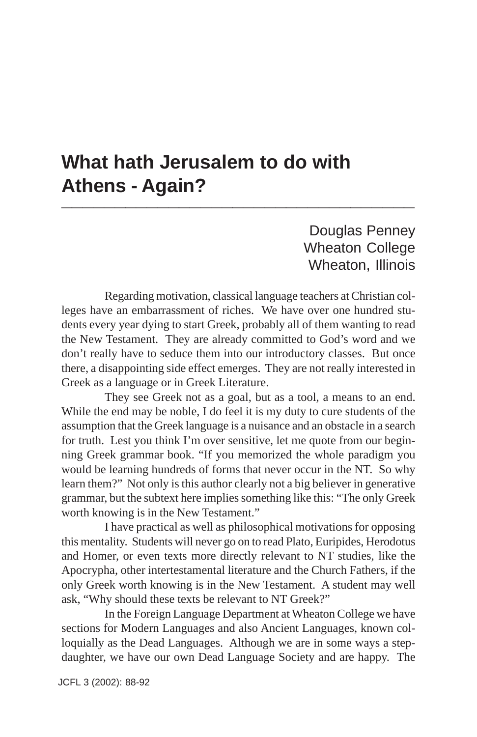## **What hath Jerusalem to do with Athens - Again? \_\_\_\_\_\_\_\_\_\_\_\_\_\_\_\_\_\_\_\_\_\_\_\_\_\_\_\_\_\_\_\_\_**

Douglas Penney Wheaton College Wheaton, Illinois

Regarding motivation, classical language teachers at Christian colleges have an embarrassment of riches. We have over one hundred students every year dying to start Greek, probably all of them wanting to read the New Testament. They are already committed to God's word and we don't really have to seduce them into our introductory classes. But once there, a disappointing side effect emerges. They are not really interested in Greek as a language or in Greek Literature.

They see Greek not as a goal, but as a tool, a means to an end. While the end may be noble, I do feel it is my duty to cure students of the assumption that the Greek language is a nuisance and an obstacle in a search for truth. Lest you think I'm over sensitive, let me quote from our beginning Greek grammar book. "If you memorized the whole paradigm you would be learning hundreds of forms that never occur in the NT. So why learn them?" Not only is this author clearly not a big believer in generative grammar, but the subtext here implies something like this: "The only Greek worth knowing is in the New Testament."

I have practical as well as philosophical motivations for opposing this mentality. Students will never go on to read Plato, Euripides, Herodotus and Homer, or even texts more directly relevant to NT studies, like the Apocrypha, other intertestamental literature and the Church Fathers, if the only Greek worth knowing is in the New Testament. A student may well ask, "Why should these texts be relevant to NT Greek?"

In the Foreign Language Department at Wheaton College we have sections for Modern Languages and also Ancient Languages, known colloquially as the Dead Languages. Although we are in some ways a stepdaughter, we have our own Dead Language Society and are happy. The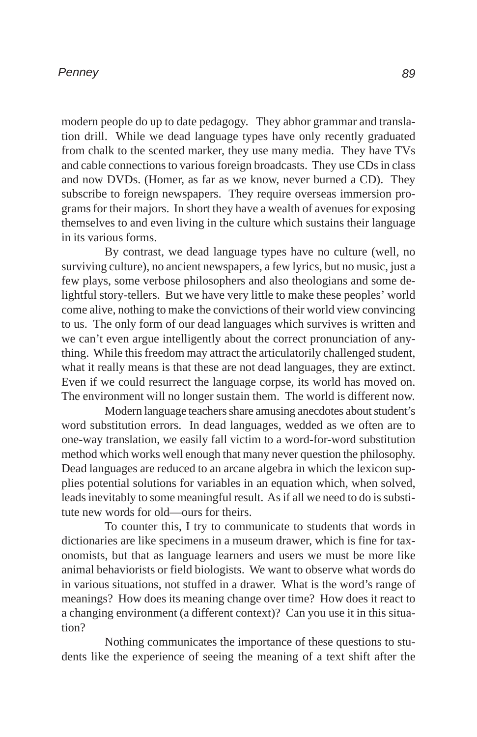## *Penney*

modern people do up to date pedagogy. They abhor grammar and translation drill. While we dead language types have only recently graduated from chalk to the scented marker, they use many media. They have TVs and cable connections to various foreign broadcasts. They use CDs in class and now DVDs. (Homer, as far as we know, never burned a CD). They subscribe to foreign newspapers. They require overseas immersion programs for their majors. In short they have a wealth of avenues for exposing themselves to and even living in the culture which sustains their language in its various forms.

By contrast, we dead language types have no culture (well, no surviving culture), no ancient newspapers, a few lyrics, but no music, just a few plays, some verbose philosophers and also theologians and some delightful story-tellers. But we have very little to make these peoples' world come alive, nothing to make the convictions of their world view convincing to us. The only form of our dead languages which survives is written and we can't even argue intelligently about the correct pronunciation of anything. While this freedom may attract the articulatorily challenged student, what it really means is that these are not dead languages, they are extinct. Even if we could resurrect the language corpse, its world has moved on. The environment will no longer sustain them. The world is different now.

Modern language teachers share amusing anecdotes about student's word substitution errors. In dead languages, wedded as we often are to one-way translation, we easily fall victim to a word-for-word substitution method which works well enough that many never question the philosophy. Dead languages are reduced to an arcane algebra in which the lexicon supplies potential solutions for variables in an equation which, when solved, leads inevitably to some meaningful result. As if all we need to do is substitute new words for old—ours for theirs.

To counter this, I try to communicate to students that words in dictionaries are like specimens in a museum drawer, which is fine for taxonomists, but that as language learners and users we must be more like animal behaviorists or field biologists. We want to observe what words do in various situations, not stuffed in a drawer. What is the word's range of meanings? How does its meaning change over time? How does it react to a changing environment (a different context)? Can you use it in this situation?

Nothing communicates the importance of these questions to students like the experience of seeing the meaning of a text shift after the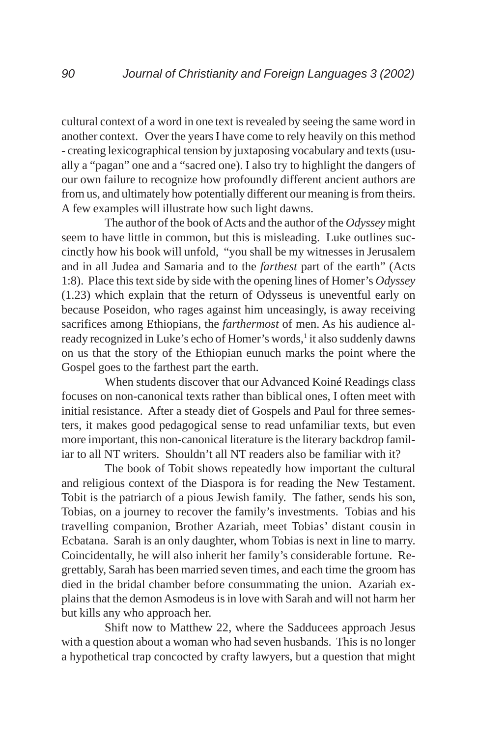cultural context of a word in one text is revealed by seeing the same word in another context. Over the years I have come to rely heavily on this method - creating lexicographical tension by juxtaposing vocabulary and texts (usually a "pagan" one and a "sacred one). I also try to highlight the dangers of our own failure to recognize how profoundly different ancient authors are from us, and ultimately how potentially different our meaning is from theirs. A few examples will illustrate how such light dawns.

The author of the book of Acts and the author of the *Odyssey* might seem to have little in common, but this is misleading. Luke outlines succinctly how his book will unfold, "you shall be my witnesses in Jerusalem and in all Judea and Samaria and to the *farthest* part of the earth" (Acts 1:8). Place this text side by side with the opening lines of Homer's *Odyssey* (1.23) which explain that the return of Odysseus is uneventful early on because Poseidon, who rages against him unceasingly, is away receiving sacrifices among Ethiopians, the *farthermost* of men. As his audience already recognized in Luke's echo of Homer's words,<sup>1</sup> it also suddenly dawns on us that the story of the Ethiopian eunuch marks the point where the Gospel goes to the farthest part the earth.

When students discover that our Advanced Koiné Readings class focuses on non-canonical texts rather than biblical ones, I often meet with initial resistance. After a steady diet of Gospels and Paul for three semesters, it makes good pedagogical sense to read unfamiliar texts, but even more important, this non-canonical literature is the literary backdrop familiar to all NT writers. Shouldn't all NT readers also be familiar with it?

The book of Tobit shows repeatedly how important the cultural and religious context of the Diaspora is for reading the New Testament. Tobit is the patriarch of a pious Jewish family. The father, sends his son, Tobias, on a journey to recover the family's investments. Tobias and his travelling companion, Brother Azariah, meet Tobias' distant cousin in Ecbatana. Sarah is an only daughter, whom Tobias is next in line to marry. Coincidentally, he will also inherit her family's considerable fortune. Regrettably, Sarah has been married seven times, and each time the groom has died in the bridal chamber before consummating the union. Azariah explains that the demon Asmodeus is in love with Sarah and will not harm her but kills any who approach her.

Shift now to Matthew 22, where the Sadducees approach Jesus with a question about a woman who had seven husbands. This is no longer a hypothetical trap concocted by crafty lawyers, but a question that might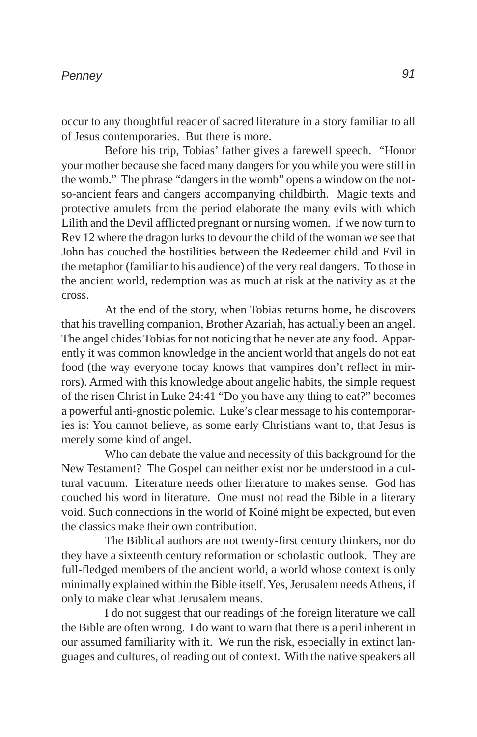occur to any thoughtful reader of sacred literature in a story familiar to all of Jesus contemporaries. But there is more.

Before his trip, Tobias' father gives a farewell speech. "Honor your mother because she faced many dangers for you while you were still in the womb." The phrase "dangers in the womb" opens a window on the notso-ancient fears and dangers accompanying childbirth. Magic texts and protective amulets from the period elaborate the many evils with which Lilith and the Devil afflicted pregnant or nursing women. If we now turn to Rev 12 where the dragon lurks to devour the child of the woman we see that John has couched the hostilities between the Redeemer child and Evil in the metaphor (familiar to his audience) of the very real dangers. To those in the ancient world, redemption was as much at risk at the nativity as at the cross.

At the end of the story, when Tobias returns home, he discovers that his travelling companion, Brother Azariah, has actually been an angel. The angel chides Tobias for not noticing that he never ate any food. Apparently it was common knowledge in the ancient world that angels do not eat food (the way everyone today knows that vampires don't reflect in mirrors). Armed with this knowledge about angelic habits, the simple request of the risen Christ in Luke 24:41 "Do you have any thing to eat?" becomes a powerful anti-gnostic polemic. Luke's clear message to his contemporaries is: You cannot believe, as some early Christians want to, that Jesus is merely some kind of angel.

Who can debate the value and necessity of this background for the New Testament? The Gospel can neither exist nor be understood in a cultural vacuum. Literature needs other literature to makes sense. God has couched his word in literature. One must not read the Bible in a literary void. Such connections in the world of Koiné might be expected, but even the classics make their own contribution.

The Biblical authors are not twenty-first century thinkers, nor do they have a sixteenth century reformation or scholastic outlook. They are full-fledged members of the ancient world, a world whose context is only minimally explained within the Bible itself. Yes, Jerusalem needs Athens, if only to make clear what Jerusalem means.

I do not suggest that our readings of the foreign literature we call the Bible are often wrong. I do want to warn that there is a peril inherent in our assumed familiarity with it. We run the risk, especially in extinct languages and cultures, of reading out of context. With the native speakers all